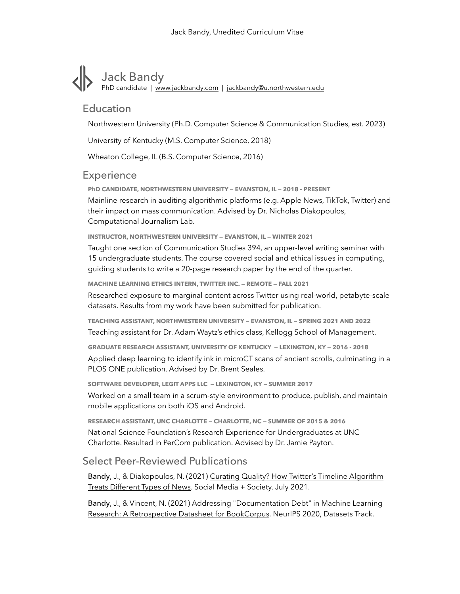# Jack Bandy PhD candidate | [www.jackbandy.com](http://www.jackbandy.com) | [jackbandy@u.northwestern.edu](mailto:jackbandy@u.northwestern.edu)

## Education

Northwestern University (Ph.D. Computer Science & Communication Studies, est. 2023)

University of Kentucky (M.S. Computer Science, 2018)

Wheaton College, IL (B.S. Computer Science, 2016)

#### **Experience**

**PhD CANDIDATE, NORTHWESTERN UNIVERSITY — EVANSTON, IL — 2018 - PRESENT** Mainline research in auditing algorithmic platforms (e.g. Apple News, TikTok, Twitter) and their impact on mass communication. Advised by Dr. Nicholas Diakopoulos, Computational Journalism Lab.

**INSTRUCTOR, NORTHWESTERN UNIVERSITY — EVANSTON, IL — WINTER 2021**

Taught one section of Communication Studies 394, an upper-level writing seminar with 15 undergraduate students. The course covered social and ethical issues in computing, guiding students to write a 20-page research paper by the end of the quarter.

**MACHINE LEARNING ETHICS INTERN, TWITTER INC. — REMOTE — FALL 2021**

Researched exposure to marginal content across Twitter using real-world, petabyte-scale datasets. Results from my work have been submitted for publication.

**TEACHING ASSISTANT, NORTHWESTERN UNIVERSITY — EVANSTON, IL — SPRING 2021 AND 2022** Teaching assistant for Dr. Adam Waytz's ethics class, Kellogg School of Management.

**GRADUATE RESEARCH ASSISTANT, UNIVERSITY OF KENTUCKY — LEXINGTON, KY — 2016 - 2018**

Applied deep learning to identify ink in microCT scans of ancient scrolls, culminating in a PLOS ONE publication. Advised by Dr. Brent Seales.

**SOFTWARE DEVELOPER, LEGIT APPS LLC — LEXINGTON, KY — SUMMER 2017**

Worked on a small team in a scrum-style environment to produce, publish, and maintain mobile applications on both iOS and Android.

**RESEARCH ASSISTANT, UNC CHARLOTTE — CHARLOTTE, NC — SUMMER OF 2015 & 2016** National Science Foundation's Research Experience for Undergraduates at UNC Charlotte. Resulted in PerCom publication. Advised by Dr. Jamie Payton.

### Select Peer-Reviewed Publications

Bandy, J., & Diakopoulos, N. (2021) [Curating Quality? How Twitter's Timeline Algorithm](https://journals.sagepub.com/doi/10.1177/20563051211041648)  [Treats Different Types of News](https://journals.sagepub.com/doi/10.1177/20563051211041648). Social Media + Society. July 2021.

Bandy[, J., & Vincent, N. \(2021\) Addressing "Documentation Debt" in Machine Learning](https://openreview.net/forum?id=Qd_eU1wvJeu)  [Research: A Retrospective Datasheet for BookCorpus.](https://openreview.net/forum?id=Qd_eU1wvJeu) NeurIPS 2020, Datasets Track.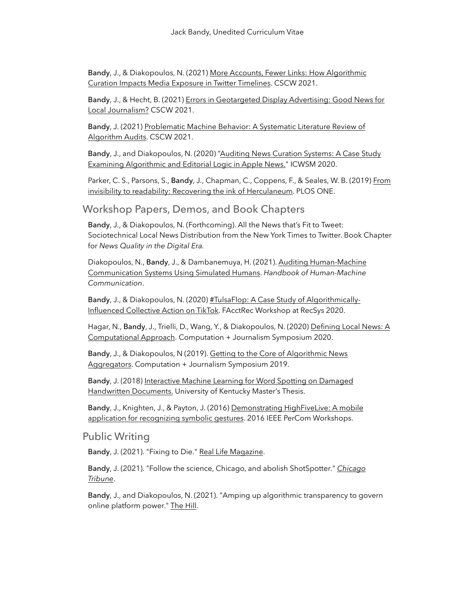Bandy[, J., & Diakopoulos, N. \(2021\) More Accounts, Fewer Links: How Algorithmic](https://dl.acm.org/doi/10.1145/3449152)  [Curation Impacts Media Exposure in Twitter Timelines](https://dl.acm.org/doi/10.1145/3449152). CSCW 2021.

Bandy, J., & Hecht, B. (2021) [Errors in Geotargeted Display Advertising: Good News for](https://dl.acm.org/doi/10.1145/3449166)  [Local Journalism?](https://dl.acm.org/doi/10.1145/3449166) CSCW 2021.

Bandy[, J. \(2021\) Problematic Machine Behavior: A Systematic Literature Review of](https://dl.acm.org/doi/10.1145/3449148)  [Algorithm Audits.](https://dl.acm.org/doi/10.1145/3449148) CSCW 2021.

Bandy[, J., and Diakopoulos, N. \(2020\) "Auditing News Curation Systems: A Case Study](https://ojs.aaai.org/index.php/ICWSM/article/view/7277)  [Examining Algorithmic and Editorial Logic in Apple News.](https://ojs.aaai.org/index.php/ICWSM/article/view/7277)" ICWSM 2020.

Parker, C. S., Parsons, S., Bandy, J., Chapman, C., Coppens, F., & Seales, W. B. (2019) From [invisibility to readability: Recovering the ink of Herculaneum.](https://journals.plos.org/plosone/article?id=10.1371/journal.pone.0215775) PLOS ONE.

#### Workshop Papers, Demos, and Book Chapters

Bandy, J., & Diakopoulos, N. (Forthcoming). All the News that's Fit to Tweet: Sociotechnical Local News Distribution from the New York Times to Twitter. Book Chapter for *News Quality in the Digital Era.*

Diakopoulos, N., Bandy, J., & Dambanemuya, H. (2021). Auditing Human-Machine [Communication Systems Using Simulated Humans](https://papers.ssrn.com/sol3/papers.cfm?abstract_id=3915192). *Handbook of Human-Machine Communication*.

Bandy[, J., & Diakopoulos, N. \(2020\) #TulsaFlop: A Case Study of Algorithmically-](https://arxiv.org/abs/2012.07716)[Influenced Collective Action on TikTok.](https://arxiv.org/abs/2012.07716) FAcctRec Workshop at RecSys 2020.

Hagar, N., Bandy, J., Trielli, D., Wang, Y., & Diakopoulos, N. (2020) Defining Local News: A [Computational Approach.](https://cj2020.northeastern.edu/files/2020/02/CJ_2020_paper_40.pdf) Computation + Journalism Symposium 2020.

Bandy, J., & Diakopoulos, N (2019). [Getting to the Core of Algorithmic News](https://par.nsf.gov/biblio/10096342)  [Aggregators.](https://par.nsf.gov/biblio/10096342) Computation + Journalism Symposium 2019.

Bandy[, J. \(2018\) Interactive Machine Learning for Word Spotting on Damaged](https://mfr.osf.io/render?url=https://osf.io/9wuaq/download)  [Handwritten Documents](https://mfr.osf.io/render?url=https://osf.io/9wuaq/download). University of Kentucky Master's Thesis.

Bandy, J., Knighten, J., & Payton, J. (2016) Demonstrating HighFiveLive: A mobile [application for recognizing symbolic gestures](https://ieeexplore.ieee.org/abstract/document/7457072). 2016 IEEE PerCom Workshops.

#### Public Writing

Bandy, J. (2021). "Fixing to Die." [Real Life Magazine](https://reallifemag.com/fixing-to-die/).

Bandy, J. (2021). "Follow the science, Chicago, and abolish ShotSpotter." *[Chicago](https://www.chicagotribune.com/opinion/commentary/ct-opinion-police-shotspotter-abolish-20210521-jvmhcxjr6rev7d6wbg2msggqzi-story.html)  [Tribune](https://www.chicagotribune.com/opinion/commentary/ct-opinion-police-shotspotter-abolish-20210521-jvmhcxjr6rev7d6wbg2msggqzi-story.html)*.

Bandy, J., and Diakopoulos, N. (2021). "Amping up algorithmic transparency to govern online platform power." [The Hill.](https://thehill.com/opinion/technology/551027-amping-up-algorithmic-transparency-to-govern-online-platform-power)